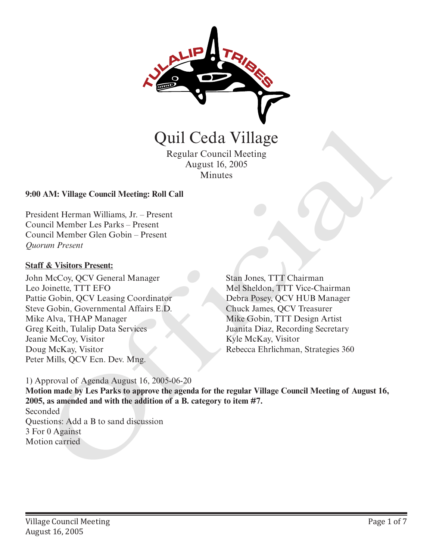

Regular Council Meeting August 16, 2005 Minutes

#### **9:00 AM: Village Council Meeting: Roll Call**

President Herman Williams, Jr. – Present Council Member Les Parks – Present Council Member Glen Gobin – Present *Quorum Present*

#### **Staff & Visitors Present:**

John McCoy, QCV General Manager Leo Joinette, TTT EFO Pattie Gobin, QCV Leasing Coordinator Steve Gobin, Governmental Affairs E.D. Mike Alva, THAP Manager Greg Keith, Tulalip Data Services Jeanie McCoy, Visitor Doug McKay, Visitor Peter Mills, QCV Ecn. Dev. Mng.

Stan Jones, TTT Chairman Mel Sheldon, TTT Vice-Chairman Debra Posey, QCV HUB Manager Chuck James, QCV Treasurer Mike Gobin, TTT Design Artist Juanita Diaz, Recording Secretary Kyle McKay, Visitor

1) Approval of Agenda August 16, 2005-06-20

**Motion made by Les Parks to approve the agenda for the regular Village Council Meeting of August 16, 2005, as amended and with the addition of a B. category to item #7.** Seconded Questions: Add a B to sand discussion 3 For 0 Against Motion carried **CHAT CHAT SERVER (SETT)**<br>
Regular Council Meeting<br>
August 16, 2005<br>
Minutes<br>
August 16, 2005<br>
Minutes<br>
CHAT HETMAN Williams J. F. – Present<br>
Incident Herman Williams J. F. – Present<br>
Incident Clen Strategies 360 Official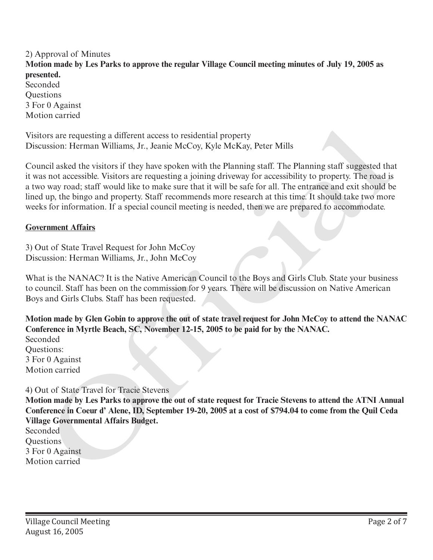2) Approval of Minutes **Motion made by Les Parks to approve the regular Village Council meeting minutes of July 19, 2005 as presented.**  Seconded **Ouestions** 3 For 0 Against Motion carried

Visitors are requesting a different access to residential property Discussion: Herman Williams, Jr., Jeanie McCoy, Kyle McKay, Peter Mills

Council asked the visitors if they have spoken with the Planning staff. The Planning staff suggested that it was not accessible. Visitors are requesting a joining driveway for accessibility to property. The road is a two way road; staff would like to make sure that it will be safe for all. The entrance and exit should be lined up, the bingo and property. Staff recommends more research at this time. It should take two more weeks for information. If a special council meeting is needed, then we are prepared to accommodate. Visitors are requesting a different access to residential property<br>Discussion: Herman Williams, Jr., Jeanie McCoy, Kyle McKay, Peter Mills<br>Council asked to visitors if they have sphech with the Plaming staff. The Plaming s

#### **Government Affairs**

3) Out of State Travel Request for John McCoy Discussion: Herman Williams, Jr., John McCoy

What is the NANAC? It is the Native American Council to the Boys and Girls Club. State your business to council. Staff has been on the commission for 9 years. There will be discussion on Native American Boys and Girls Clubs. Staff has been requested.

**Motion made by Glen Gobin to approve the out of state travel request for John McCoy to attend the NANAC Conference in Myrtle Beach, SC, November 12-15, 2005 to be paid for by the NANAC.**

Seconded Questions: 3 For 0 Against Motion carried

#### 4) Out of State Travel for Tracie Stevens

**Motion made by Les Parks to approve the out of state request for Tracie Stevens to attend the ATNI Annual Conference in Coeur d' Alene, ID, September 19-20, 2005 at a cost of \$794.04 to come from the Quil Ceda Village Governmental Affairs Budget.**

Seconded **Ouestions** 3 For 0 Against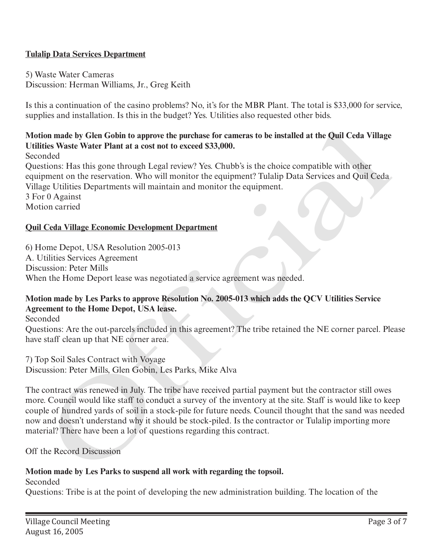## **Tulalip Data Services Department**

5) Waste Water Cameras Discussion: Herman Williams, Jr., Greg Keith

Is this a continuation of the casino problems? No, it's for the MBR Plant. The total is \$33,000 for service, supplies and installation. Is this in the budget? Yes. Utilities also requested other bids.

# **Motion made by Glen Gobin to approve the purchase for cameras to be installed at the Quil Ceda Village Utilities Waste Water Plant at a cost not to exceed \$33,000.**

Seconded

Questions: Has this gone through Legal review? Yes. Chubb's is the choice compatible with other equipment on the reservation. Who will monitor the equipment? Tulalip Data Services and Quil Ceda Village Utilities Departments will maintain and monitor the equipment.

3 For 0 Against

Motion carried

### **Quil Ceda Village Economic Development Department**

6) Home Depot, USA Resolution 2005-013 A. Utilities Services Agreement Discussion: Peter Mills When the Home Deport lease was negotiated a service agreement was needed.

### **Motion made by Les Parks to approve Resolution No. 2005-013 which adds the QCV Utilities Service Agreement to the Home Depot, USA lease.**

Seconded

Questions: Are the out-parcels included in this agreement? The tribe retained the NE corner parcel. Please have staff clean up that NE corner area.

7) Top Soil Sales Contract with Voyage Discussion: Peter Mills, Glen Gobin, Les Parks, Mike Alva

The contract was renewed in July. The tribe have received partial payment but the contractor still owes more. Council would like staff to conduct a survey of the inventory at the site. Staff is would like to keep couple of hundred yards of soil in a stock-pile for future needs. Council thought that the sand was needed now and doesn't understand why it should be stock-piled. Is the contractor or Tulalip importing more material? There have been a lot of questions regarding this contract. ion made by Glen Gobin to approve the purchase for cameras to be installed at the Quil Ceda Village<br>
Heckel Waste Water Plant at a cost not to exceed \$33,000.<br>
Heckeltons: Has this gone through Legal review? Yes. Chubb's i

Off the Record Discussion

### **Motion made by Les Parks to suspend all work with regarding the topsoil.**

Seconded

Questions: Tribe is at the point of developing the new administration building. The location of the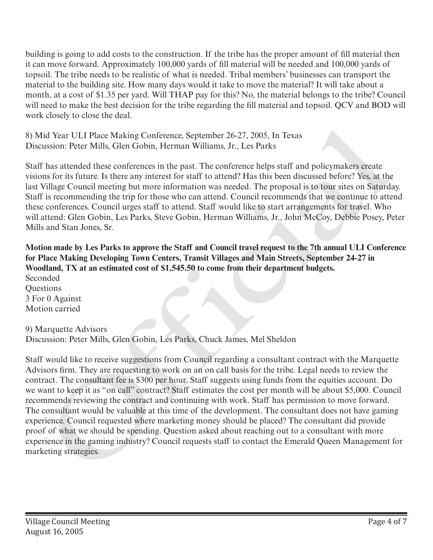building is going to add costs to the construction. If the tribe has the proper amount of fill material then it can move forward. Approximately 100,000 yards of fill material will be needed and 100,000 yards of topsoil. The tribe needs to be realistic of what is needed. Tribal members' businesses can transport the material to the building site. How many days would it take to move the material? It will take about a month, at a cost of \$1.35 per yard. Will THAP pay for this? No, the material belongs to the tribe? Council will need to make the best decision for the tribe regarding the fill material and topsoil. QCV and BOD will work closely to close the deal.

8) Mid Year ULI Place Making Conference, September 26-27, 2005, In Texas Discussion: Peter Mills, Glen Gobin, Herman Williams, Jr., Les Parks

Staff has attended these conferences in the past. The conference helps staff and policymakers create visions for its future. Is there any interest for staff to attend? Has this been discussed before? Yes, at the last Village Council meeting but more information was needed. The proposal is to tour sites on Saturday. Staff is recommending the trip for those who can attend. Council recommends that we continue to attend these conferences. Council urges staff to attend. Staff would like to start arrangements for travel. Who will attend: Glen Gobin, Les Parks, Steve Gobin, Herman Williams, Jr., John McCoy, Debbie Posey, Peter Mills and Stan Jones, Sr.

**Motion made by Les Parks to approve the Staff and Council travel request to the 7th annual ULI Conference for Place Making Developing Town Centers, Transit Villages and Main Streets, September 24-27 in Woodland, TX at an estimated cost of \$1,545.50 to come from their department budgets.** Seconded

**Questions** 3 For 0 Against Motion carried

9) Marquette Advisors

Discussion: Peter Mills, Glen Gobin, Les Parks, Chuck James, Mel Sheldon

Staff would like to receive suggestions from Council regarding a consultant contract with the Marquette Advisors firm. They are requesting to work on an on call basis for the tribe. Legal needs to review the contract. The consultant fee is \$300 per hour. Staff suggests using funds from the equities account. Do we want to keep it as "on call" contract? Staff estimates the cost per month will be about \$5,000. Council recommends reviewing the contract and continuing with work. Staff has permission to move forward. The consultant would be valuable at this time of the development. The consultant does not have gaming experience. Council requested where marketing money should be placed? The consultant did provide proof of what we should be spending. Question asked about reaching out to a consultant with more experience in the gaming industry? Council requests staff to contact the Emerald Queen Management for 8) Mid Vear ULI Place Making Conference, September 26-27, 2005, In Texas<br>Discussion: Peter Mills, Gilen Gobin, Herman Williams, Jr., Les Parks<br>Staff mad policyymakers create<br>Staff mas attended these conferences in the pust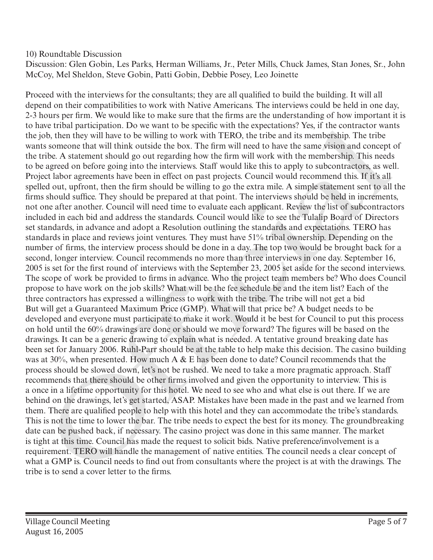## 10) Roundtable Discussion

Discussion: Glen Gobin, Les Parks, Herman Williams, Jr., Peter Mills, Chuck James, Stan Jones, Sr., John McCoy, Mel Sheldon, Steve Gobin, Patti Gobin, Debbie Posey, Leo Joinette

Proceed with the interviews for the consultants; they are all qualified to build the building. It will all depend on their compatibilities to work with Native Americans. The interviews could be held in one day, 2-3 hours per firm. We would like to make sure that the firms are the understanding of how important it is to have tribal participation. Do we want to be specific with the expectations? Yes, if the contractor wants the job, then they will have to be willing to work with TERO, the tribe and its membership. The tribe wants someone that will think outside the box. The firm will need to have the same vision and concept of the tribe. A statement should go out regarding how the firm will work with the membership. This needs to be agreed on before going into the interviews. Staff would like this to apply to subcontractors, as well. Project labor agreements have been in effect on past projects. Council would recommend this. If it's all spelled out, upfront, then the firm should be willing to go the extra mile. A simple statement sent to all the firms should suffice. They should be prepared at that point. The interviews should be held in increments, not one after another. Council will need time to evaluate each applicant. Review the list of subcontractors included in each bid and address the standards. Council would like to see the Tulalip Board of Directors set standards, in advance and adopt a Resolution outlining the standards and expectations. TERO has standards in place and reviews joint ventures. They must have 51% tribal ownership. Depending on the number of firms, the interview process should be done in a day. The top two would be brought back for a second, longer interview. Council recommends no more than three interviews in one day. September 16, 2005 is set for the first round of interviews with the September 23, 2005 set aside for the second interviews. The scope of work be provided to firms in advance. Who the project team members be? Who does Council propose to have work on the job skills? What will be the fee schedule be and the item list? Each of the three contractors has expressed a willingness to work with the tribe. The tribe will not get a bid But will get a Guaranteed Maximum Price (GMP). What will that price be? A budget needs to be developed and everyone must participate to make it work. Would it be best for Council to put this process on hold until the 60% drawings are done or should we move forward? The figures will be based on the drawings. It can be a generic drawing to explain what is needed. A tentative ground breaking date has been set for January 2006. Ruhl-Parr should be at the table to help make this decision. The casino building was at 30%, when presented. How much A & E has been done to date? Council recommends that the process should be slowed down, let's not be rushed. We need to take a more pragmatic approach. Staff recommends that there should be other firms involved and given the opportunity to interview. This is a once in a lifetime opportunity for this hotel. We need to see who and what else is out there. If we are behind on the drawings, let's get started, ASAP. Mistakes have been made in the past and we learned from them. There are qualified people to help with this hotel and they can accommodate the tribe's standards. This is not the time to lower the bar. The tribe needs to expect the best for its money. The groundbreaking date can be pushed back, if necessary. The casino project was done in this same manner. The market is tight at this time. Council has made the request to solicit bids. Native preference/involvement is a requirement. TERO will handle the management of native entities. The council needs a clear concept of what a GMP is. Council needs to find out from consultants where the project is at with the drawings. The to near tribut particleptation. Do we want to be speed with the sepectations? Yes, if the contractor van the send a control to the send a control of the send and control of the studient of the best in the most someon that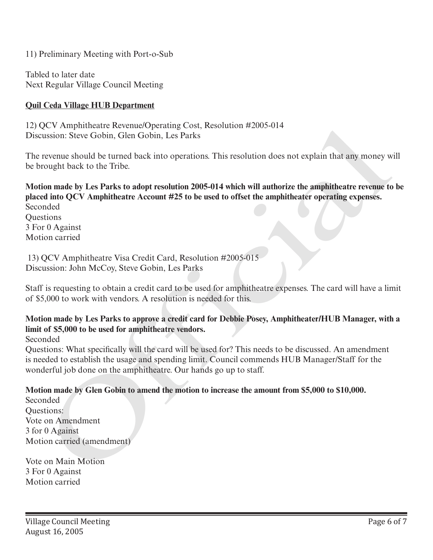11) Preliminary Meeting with Port-o-Sub

Tabled to later date Next Regular Village Council Meeting

## **Quil Ceda Village HUB Department**

12) QCV Amphitheatre Revenue/Operating Cost, Resolution #2005-014 Discussion: Steve Gobin, Glen Gobin, Les Parks

The revenue should be turned back into operations. This resolution does not explain that any money will be brought back to the Tribe.

**Motion made by Les Parks to adopt resolution 2005-014 which will authorize the amphitheatre revenue to be placed into QCV Amphitheatre Account #25 to be used to offset the amphitheater operating expenses.** Seconded **Ouestions** *J*C X Ampintance tectement operating Cost, Resontition #2003-014<br>
susion: Sieve Gobin, Glen Gobin, Les Parks<br>
revenue should be turned back into operations. This resolution does not explain that any money w<br>
ought hack to

3 For 0 Against Motion carried

 13) QCV Amphitheatre Visa Credit Card, Resolution #2005-015 Discussion: John McCoy, Steve Gobin, Les Parks

Staff is requesting to obtain a credit card to be used for amphitheatre expenses. The card will have a limit of \$5,000 to work with vendors. A resolution is needed for this.

## **Motion made by Les Parks to approve a credit card for Debbie Posey, Amphitheater/HUB Manager, with a limit of \$5,000 to be used for amphitheatre vendors.**

Seconded

Questions: What specifically will the card will be used for? This needs to be discussed. An amendment is needed to establish the usage and spending limit. Council commends HUB Manager/Staff for the wonderful job done on the amphitheatre. Our hands go up to staff.

#### **Motion made by Glen Gobin to amend the motion to increase the amount from \$5,000 to \$10,000.**

Seconded Questions: Vote on Amendment 3 for 0 Against Motion carried (amendment)

Vote on Main Motion 3 For 0 Against Motion carried